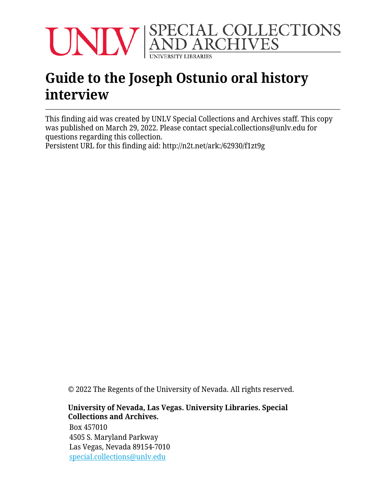

# **Guide to the Joseph Ostunio oral history interview**

This finding aid was created by UNLV Special Collections and Archives staff. This copy was published on March 29, 2022. Please contact special.collections@unlv.edu for questions regarding this collection.

Persistent URL for this finding aid: <http://n2t.net/ark:/62930/f1zt9g>

© 2022 The Regents of the University of Nevada. All rights reserved.

#### **University of Nevada, Las Vegas. University Libraries. Special Collections and Archives.**

Box 457010 4505 S. Maryland Parkway Las Vegas, Nevada 89154-7010 [special.collections@unlv.edu](mailto:special.collections@unlv.edu)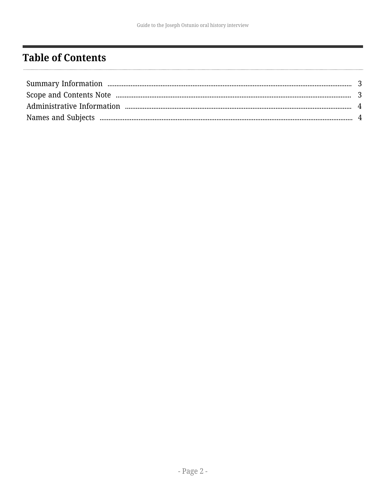# <span id="page-1-0"></span>**Table of Contents**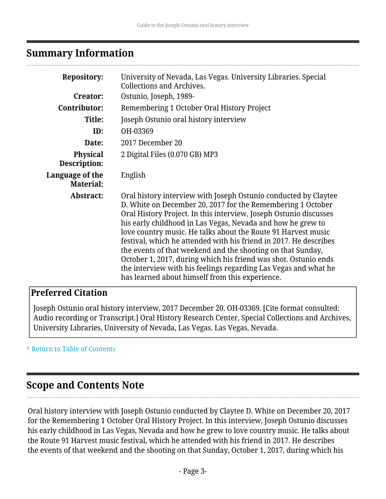## <span id="page-2-0"></span>**Summary Information**

| <b>Repository:</b>                  | University of Nevada, Las Vegas. University Libraries. Special<br><b>Collections and Archives.</b>                                                                                                                                                                                                                                                                                                                                                                                                                                                                                                                                                               |
|-------------------------------------|------------------------------------------------------------------------------------------------------------------------------------------------------------------------------------------------------------------------------------------------------------------------------------------------------------------------------------------------------------------------------------------------------------------------------------------------------------------------------------------------------------------------------------------------------------------------------------------------------------------------------------------------------------------|
| Creator:                            | Ostunio, Joseph, 1989-                                                                                                                                                                                                                                                                                                                                                                                                                                                                                                                                                                                                                                           |
| Contributor:                        | Remembering 1 October Oral History Project                                                                                                                                                                                                                                                                                                                                                                                                                                                                                                                                                                                                                       |
| Title:                              | Joseph Ostunio oral history interview                                                                                                                                                                                                                                                                                                                                                                                                                                                                                                                                                                                                                            |
| ID:                                 | OH-03369                                                                                                                                                                                                                                                                                                                                                                                                                                                                                                                                                                                                                                                         |
| Date:                               | 2017 December 20                                                                                                                                                                                                                                                                                                                                                                                                                                                                                                                                                                                                                                                 |
| <b>Physical</b><br>Description:     | 2 Digital Files (0.070 GB) MP3                                                                                                                                                                                                                                                                                                                                                                                                                                                                                                                                                                                                                                   |
| Language of the<br><b>Material:</b> | English                                                                                                                                                                                                                                                                                                                                                                                                                                                                                                                                                                                                                                                          |
| Abstract:                           | Oral history interview with Joseph Ostunio conducted by Claytee<br>D. White on December 20, 2017 for the Remembering 1 October<br>Oral History Project. In this interview, Joseph Ostunio discusses<br>his early childhood in Las Vegas, Nevada and how he grew to<br>love country music. He talks about the Route 91 Harvest music<br>festival, which he attended with his friend in 2017. He describes<br>the events of that weekend and the shooting on that Sunday,<br>October 1, 2017, during which his friend was shot. Ostunio ends<br>the interview with his feelings regarding Las Vegas and what he<br>has learned about himself from this experience. |

#### **Preferred Citation**

Joseph Ostunio oral history interview, 2017 December 20. OH-03369. [Cite format consulted: Audio recording or Transcript.] Oral History Research Center, Special Collections and Archives, University Libraries, University of Nevada, Las Vegas. Las Vegas, Nevada.

**^** [Return to Table of Contents](#page-1-0)

## <span id="page-2-1"></span>**Scope and Contents Note**

Oral history interview with Joseph Ostunio conducted by Claytee D. White on December 20, 2017 for the Remembering 1 October Oral History Project. In this interview, Joseph Ostunio discusses his early childhood in Las Vegas, Nevada and how he grew to love country music. He talks about the Route 91 Harvest music festival, which he attended with his friend in 2017. He describes the events of that weekend and the shooting on that Sunday, October 1, 2017, during which his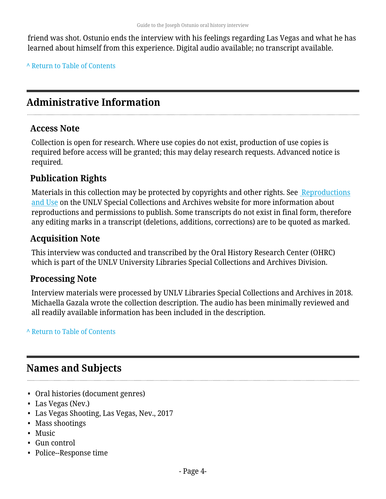friend was shot. Ostunio ends the interview with his feelings regarding Las Vegas and what he has learned about himself from this experience. Digital audio available; no transcript available.

**^** [Return to Table of Contents](#page-1-0)

# <span id="page-3-0"></span>**Administrative Information**

#### **Access Note**

Collection is open for research. Where use copies do not exist, production of use copies is required before access will be granted; this may delay research requests. Advanced notice is required.

### **Publication Rights**

Materials in this collection may be protected by copyrights and other rights. See [Reproductions](http://www.library.unlv.edu/speccol/research_and_services/reproductions) [and Use](http://www.library.unlv.edu/speccol/research_and_services/reproductions) on the UNLV Special Collections and Archives website for more information about reproductions and permissions to publish. Some transcripts do not exist in final form, therefore any editing marks in a transcript (deletions, additions, corrections) are to be quoted as marked.

#### **Acquisition Note**

This interview was conducted and transcribed by the Oral History Research Center (OHRC) which is part of the UNLV University Libraries Special Collections and Archives Division.

#### **Processing Note**

Interview materials were processed by UNLV Libraries Special Collections and Archives in 2018. Michaella Gazala wrote the collection description. The audio has been minimally reviewed and all readily available information has been included in the description.

#### **^** [Return to Table of Contents](#page-1-0)

## <span id="page-3-1"></span>**Names and Subjects**

- Oral histories (document genres)
- Las Vegas (Nev.)
- Las Vegas Shooting, Las Vegas, Nev., 2017
- Mass shootings
- Music
- Gun control
- Police--Response time